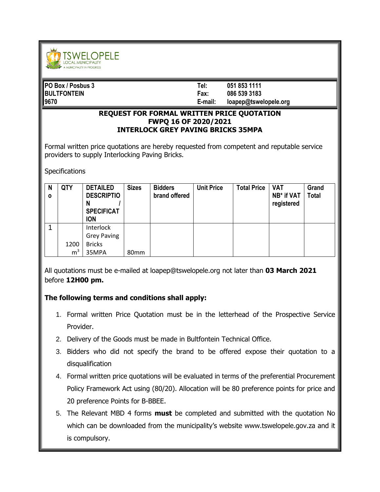

| <b>PO Box / Posbus 3</b> | Tel:    | 051 853 1111          |
|--------------------------|---------|-----------------------|
| <b>BULTFONTEIN</b>       | Fax:    | 086 539 3183          |
| 19670                    | E-mail: | loapep@tswelopele.org |

## **REQUEST FOR FORMAL WRITTEN PRICE QUOTATION FWPQ 16 OF 2020/2021 INTERLOCK GREY PAVING BRICKS 35MPA**

Formal written price quotations are hereby requested from competent and reputable service providers to supply Interlocking Paving Bricks.

**Specifications** 

| N<br>$\mathbf{o}$ | <b>QTY</b>     | <b>DETAILED</b><br><b>DESCRIPTIO</b><br>N<br><b>SPECIFICAT</b><br><b>ION</b> | <b>Sizes</b>     | <b>Bidders</b><br>brand offered | <b>Unit Price</b> | <b>Total Price</b> | <b>VAT</b><br>NB* if VAT<br>registered | Grand<br><b>Total</b> |
|-------------------|----------------|------------------------------------------------------------------------------|------------------|---------------------------------|-------------------|--------------------|----------------------------------------|-----------------------|
|                   |                | Interlock                                                                    |                  |                                 |                   |                    |                                        |                       |
|                   |                | <b>Grey Paving</b>                                                           |                  |                                 |                   |                    |                                        |                       |
|                   | 1200           | <b>Bricks</b>                                                                |                  |                                 |                   |                    |                                        |                       |
|                   | m <sup>3</sup> | 35MPA                                                                        | 80 <sub>mm</sub> |                                 |                   |                    |                                        |                       |

All quotations must be e-mailed at loapep@tswelopele.org not later than **03 March 2021** before **12H00 pm.**

## **The following terms and conditions shall apply:**

- 1. Formal written Price Quotation must be in the letterhead of the Prospective Service Provider.
- 2. Delivery of the Goods must be made in Bultfontein Technical Office.
- 3. Bidders who did not specify the brand to be offered expose their quotation to a disqualification
- 4. Formal written price quotations will be evaluated in terms of the preferential Procurement Policy Framework Act using (80/20). Allocation will be 80 preference points for price and 20 preference Points for B-BBEE.
- 5. The Relevant MBD 4 forms **must** be completed and submitted with the quotation No which can be downloaded from the municipality's website www.tswelopele.gov.za and it is compulsory.